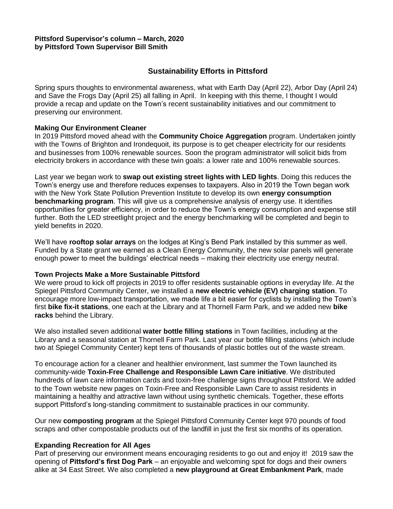## **Pittsford Supervisor's column – March, 2020 by Pittsford Town Supervisor Bill Smith**

# **Sustainability Efforts in Pittsford**

Spring spurs thoughts to environmental awareness, what with Earth Day (April 22), Arbor Day (April 24) and Save the Frogs Day (April 25) all falling in April. In keeping with this theme, I thought I would provide a recap and update on the Town's recent sustainability initiatives and our commitment to preserving our environment.

## **Making Our Environment Cleaner**

In 2019 Pittsford moved ahead with the **Community Choice Aggregation** program. Undertaken jointly with the Towns of Brighton and Irondequoit, its purpose is to get cheaper electricity for our residents and businesses from 100% renewable sources. Soon the program administrator will solicit bids from electricity brokers in accordance with these twin goals: a lower rate and 100% renewable sources.

Last year we began work to **swap out existing street lights with LED lights**. Doing this reduces the Town's energy use and therefore reduces expenses to taxpayers. Also in 2019 the Town began work with the New York State Pollution Prevention Institute to develop its own **energy consumption benchmarking program**. This will give us a comprehensive analysis of energy use. It identifies opportunities for greater efficiency, in order to reduce the Town's energy consumption and expense still further. Both the LED streetlight project and the energy benchmarking will be completed and begin to yield benefits in 2020.

We'll have **rooftop solar arrays** on the lodges at King's Bend Park installed by this summer as well. Funded by a State grant we earned as a Clean Energy Community, the new solar panels will generate enough power to meet the buildings' electrical needs – making their electricity use energy neutral.

#### **Town Projects Make a More Sustainable Pittsford**

We were proud to kick off projects in 2019 to offer residents sustainable options in everyday life. At the Spiegel Pittsford Community Center, we installed a **new electric vehicle (EV) charging station**. To encourage more low-impact transportation, we made life a bit easier for cyclists by installing the Town's first **bike fix-it stations**, one each at the Library and at Thornell Farm Park, and we added new **bike racks** behind the Library.

We also installed seven additional **water bottle filling stations** in Town facilities, including at the Library and a seasonal station at Thornell Farm Park. Last year our bottle filling stations (which include two at Spiegel Community Center) kept tens of thousands of plastic bottles out of the waste stream.

To encourage action for a cleaner and healthier environment, last summer the Town launched its community-wide **Toxin-Free Challenge and Responsible Lawn Care initiative**. We distributed hundreds of lawn care information cards and toxin-free challenge signs throughout Pittsford. We added to the Town website new pages on Toxin-Free and Responsible Lawn Care to assist residents in maintaining a healthy and attractive lawn without using synthetic chemicals. Together, these efforts support Pittsford's long-standing commitment to sustainable practices in our community.

Our new **composting program** at the Spiegel Pittsford Community Center kept 970 pounds of food scraps and other compostable products out of the landfill in just the first six months of its operation.

# **Expanding Recreation for All Ages**

Part of preserving our environment means encouraging residents to go out and enjoy it! 2019 saw the opening of **Pittsford's first Dog Park** – an enjoyable and welcoming spot for dogs and their owners alike at 34 East Street. We also completed a **new playground at Great Embankment Park**, made